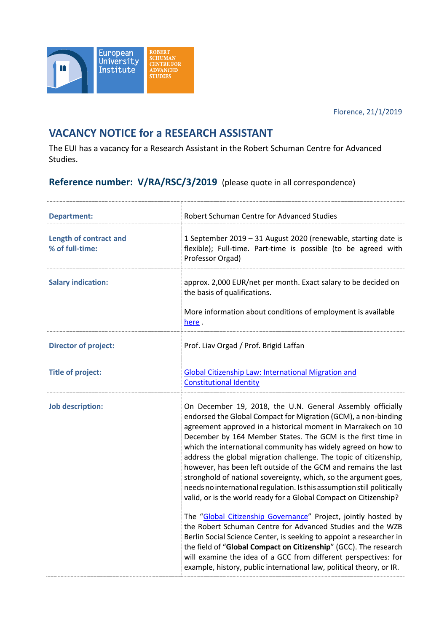Florence, 21/1/2019



## **VACANCY NOTICE for a RESEARCH ASSISTANT**

The EUI has a vacancy for a Research Assistant in the Robert Schuman Centre for Advanced Studies.

**Reference number: V/RA/RSC/3/2019** (please quote in all correspondence)

| <b>Department:</b>                               | Robert Schuman Centre for Advanced Studies                                                                                                                                                                                                                                                                                                                                                                                                                                                                                                                                                                                                                                                                                                                                                                                                                                                                                                                                                                                                                                                                    |
|--------------------------------------------------|---------------------------------------------------------------------------------------------------------------------------------------------------------------------------------------------------------------------------------------------------------------------------------------------------------------------------------------------------------------------------------------------------------------------------------------------------------------------------------------------------------------------------------------------------------------------------------------------------------------------------------------------------------------------------------------------------------------------------------------------------------------------------------------------------------------------------------------------------------------------------------------------------------------------------------------------------------------------------------------------------------------------------------------------------------------------------------------------------------------|
| <b>Length of contract and</b><br>% of full-time: | 1 September 2019 - 31 August 2020 (renewable, starting date is<br>flexible); Full-time. Part-time is possible (to be agreed with<br>Professor Orgad)                                                                                                                                                                                                                                                                                                                                                                                                                                                                                                                                                                                                                                                                                                                                                                                                                                                                                                                                                          |
| <b>Salary indication:</b>                        | approx. 2,000 EUR/net per month. Exact salary to be decided on<br>the basis of qualifications.                                                                                                                                                                                                                                                                                                                                                                                                                                                                                                                                                                                                                                                                                                                                                                                                                                                                                                                                                                                                                |
|                                                  | More information about conditions of employment is available<br>here.                                                                                                                                                                                                                                                                                                                                                                                                                                                                                                                                                                                                                                                                                                                                                                                                                                                                                                                                                                                                                                         |
| <b>Director of project:</b>                      | Prof. Liav Orgad / Prof. Brigid Laffan                                                                                                                                                                                                                                                                                                                                                                                                                                                                                                                                                                                                                                                                                                                                                                                                                                                                                                                                                                                                                                                                        |
| <b>Title of project:</b>                         | <b>Global Citizenship Law: International Migration and</b><br><b>Constitutional Identity</b>                                                                                                                                                                                                                                                                                                                                                                                                                                                                                                                                                                                                                                                                                                                                                                                                                                                                                                                                                                                                                  |
| <b>Job description:</b>                          | On December 19, 2018, the U.N. General Assembly officially<br>endorsed the Global Compact for Migration (GCM), a non-binding<br>agreement approved in a historical moment in Marrakech on 10<br>December by 164 Member States. The GCM is the first time in<br>which the international community has widely agreed on how to<br>address the global migration challenge. The topic of citizenship,<br>however, has been left outside of the GCM and remains the last<br>stronghold of national sovereignty, which, so the argument goes,<br>needs no international regulation. Is this assumption still politically<br>valid, or is the world ready for a Global Compact on Citizenship?<br>The "Global Citizenship Governance" Project, jointly hosted by<br>the Robert Schuman Centre for Advanced Studies and the WZB<br>Berlin Social Science Center, is seeking to appoint a researcher in<br>the field of "Global Compact on Citizenship" (GCC). The research<br>will examine the idea of a GCC from different perspectives: for<br>example, history, public international law, political theory, or IR. |